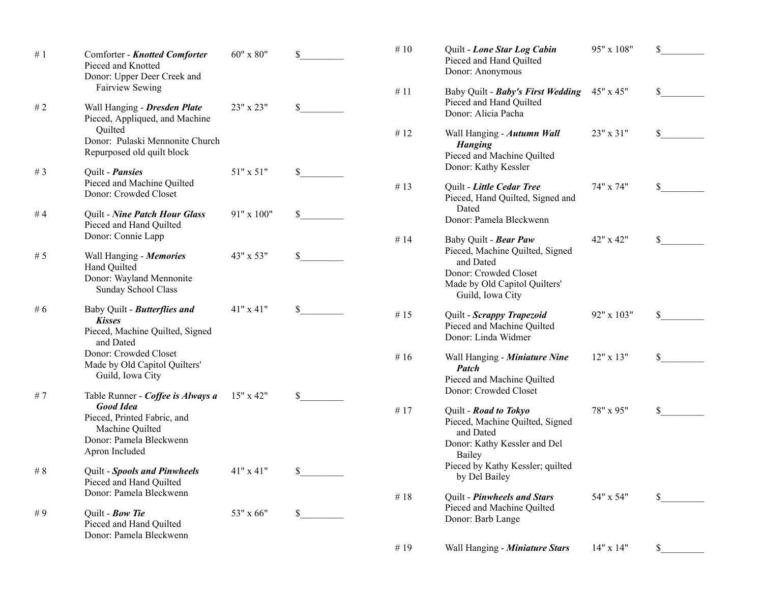| #1     | Comforter - Knotted Comforter<br>Pieced and Knotted<br>Donor: Upper Deer Creek and                               | 60" x 80"   |              | $\#$ 10 | Quilt - Lone Star Log Cabin<br>Pieced and Hand Quilted<br>Donor: Anonymous                                                                          | 95" x 108"       | \$ |
|--------|------------------------------------------------------------------------------------------------------------------|-------------|--------------|---------|-----------------------------------------------------------------------------------------------------------------------------------------------------|------------------|----|
| #2     | <b>Fairview Sewing</b><br>Wall Hanging - Dresden Plate                                                           | 23" x 23"   | \$           | #11     | Baby Quilt - Baby's First Wedding<br>Pieced and Hand Quilted<br>Donor: Alicia Pacha                                                                 | 45" x 45"        | \$ |
|        | Pieced, Appliqued, and Machine<br>Quilted<br>Donor: Pulaski Mennonite Church                                     |             |              | #12     | Wall Hanging - Autumn Wall<br><b>Hanging</b>                                                                                                        | 23" x 31"        | \$ |
| # $3$  | Repurposed old quilt block<br>Quilt - <i>Pansies</i>                                                             | 51" x 51"   | \$           |         | Pieced and Machine Quilted<br>Donor: Kathy Kessler                                                                                                  |                  |    |
|        | Pieced and Machine Quilted<br>Donor: Crowded Closet                                                              |             |              | # 13    | Quilt - Little Cedar Tree<br>Pieced, Hand Quilted, Signed and                                                                                       | 74" x 74"        | \$ |
| #4     | Quilt - Nine Patch Hour Glass<br>Pieced and Hand Quilted                                                         | 91" x 100"  | $\mathbb{S}$ |         | Dated<br>Donor: Pamela Bleckwenn                                                                                                                    |                  |    |
| #5     | Donor: Connie Lapp<br>Wall Hanging - Memories<br>Hand Quilted<br>Donor: Wayland Mennonite<br>Sunday School Class | 43" x 53"   | \$           | #14     | Baby Quilt - Bear Paw<br>Pieced, Machine Quilted, Signed<br>and Dated<br>Donor: Crowded Closet<br>Made by Old Capitol Quilters'<br>Guild, Iowa City | 42" x 42"        | \$ |
| # $6$  | Baby Quilt - Butterflies and<br><b>Kisses</b><br>Pieced, Machine Quilted, Signed<br>and Dated                    | 41" x 41"   | \$           | # $15$  | Quilt - Scrappy Trapezoid<br>Pieced and Machine Quilted<br>Donor: Linda Widmer                                                                      | 92" x 103"       | \$ |
|        | Donor: Crowded Closet<br>Made by Old Capitol Quilters'<br>Guild, Iowa City                                       |             |              | # $16$  | Wall Hanging - Miniature Nine<br>Patch<br>Pieced and Machine Quilted                                                                                | $12" \times 13"$ | \$ |
| #7     | Table Runner - Coffee is Always a<br><b>Good Idea</b>                                                            | $15"$ x 42" | \$           | #17     | Donor: Crowded Closet<br>Quilt - Road to Tokyo                                                                                                      | 78" x 95"        | \$ |
|        | Pieced, Printed Fabric, and<br>Machine Quilted<br>Donor: Pamela Bleckwenn<br>Apron Included                      |             |              |         | Pieced, Machine Quilted, Signed<br>and Dated<br>Donor: Kathy Kessler and Del<br>Bailey                                                              |                  |    |
| $\#$ 8 | Quilt - Spools and Pinwheels<br>Pieced and Hand Quilted                                                          | 41" x 41"   | \$           |         | Pieced by Kathy Kessler; quilted<br>by Del Bailey                                                                                                   |                  |    |
| #9     | Donor: Pamela Bleckwenn<br>Quilt - Bow Tie                                                                       | 53" x 66"   | \$           | #18     | Quilt - Pinwheels and Stars<br>Pieced and Machine Quilted                                                                                           | 54" x 54"        | \$ |
|        | Pieced and Hand Quilted<br>Donor: Pamela Bleckwenn                                                               |             |              |         | Donor: Barb Lange                                                                                                                                   |                  |    |
|        |                                                                                                                  |             |              | #19     | Wall Hanging - Miniature Stars                                                                                                                      | 14" x 14"        | \$ |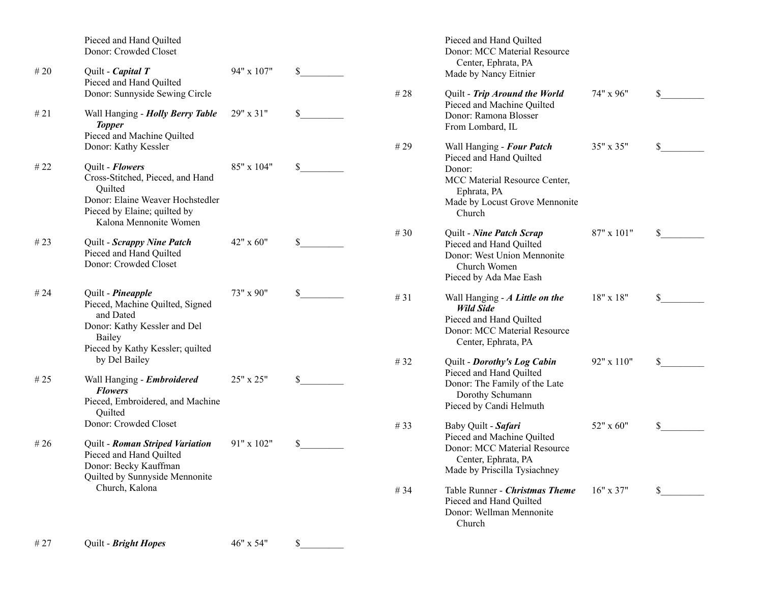|        | Pieced and Hand Quilted<br>Donor: Crowded Closet                                                                                                             |            |            | Pieced and Hand Quilted<br>Donor: MCC Material Resource                                                                              |             |    |
|--------|--------------------------------------------------------------------------------------------------------------------------------------------------------------|------------|------------|--------------------------------------------------------------------------------------------------------------------------------------|-------------|----|
| #20    | Quilt - Capital T<br>Pieced and Hand Quilted                                                                                                                 | 94" x 107" | \$         | Center, Ephrata, PA<br>Made by Nancy Eitnier                                                                                         |             |    |
| #21    | Donor: Sunnyside Sewing Circle<br>Wall Hanging - Holly Berry Table                                                                                           | 29" x 31"  | \$<br># 28 | Quilt - Trip Around the World<br>Pieced and Machine Quilted<br>Donor: Ramona Blosser                                                 | 74" x 96"   | \$ |
|        | <b>Topper</b><br>Pieced and Machine Quilted<br>Donor: Kathy Kessler                                                                                          |            | #29        | From Lombard, IL<br>Wall Hanging - Four Patch                                                                                        | 35" x 35"   | \$ |
| # 22   | Quilt - Flowers<br>Cross-Stitched, Pieced, and Hand<br>Quilted<br>Donor: Elaine Weaver Hochstedler<br>Pieced by Elaine; quilted by<br>Kalona Mennonite Women | 85" x 104" | \$         | Pieced and Hand Quilted<br>Donor:<br>MCC Material Resource Center,<br>Ephrata, PA<br>Made by Locust Grove Mennonite<br>Church        |             |    |
| # $23$ | Quilt - Scrappy Nine Patch<br>Pieced and Hand Quilted<br>Donor: Crowded Closet                                                                               | 42" x 60"  | \$<br># 30 | Quilt - Nine Patch Scrap<br>Pieced and Hand Quilted<br>Donor: West Union Mennonite<br>Church Women<br>Pieced by Ada Mae Eash         | 87" x 101"  | \$ |
| # $24$ | Quilt - Pineapple<br>Pieced, Machine Quilted, Signed<br>and Dated<br>Donor: Kathy Kessler and Del<br>Bailey<br>Pieced by Kathy Kessler; quilted              | 73" x 90"  | \$<br>#31  | Wall Hanging - A Little on the<br><b>Wild Side</b><br>Pieced and Hand Quilted<br>Donor: MCC Material Resource<br>Center, Ephrata, PA | 18" x 18"   | \$ |
| # $25$ | by Del Bailey<br>Wall Hanging - Embroidered                                                                                                                  | 25" x 25"  | \$<br>#32  | Quilt - Dorothy's Log Cabin<br>Pieced and Hand Quilted                                                                               | 92" x 110"  | \$ |
|        | <b>Flowers</b><br>Pieced, Embroidered, and Machine<br>Quilted                                                                                                |            |            | Donor: The Family of the Late<br>Dorothy Schumann<br>Pieced by Candi Helmuth                                                         |             |    |
|        | Donor: Crowded Closet                                                                                                                                        |            | # 33       | Baby Quilt - Safari<br>Pieced and Machine Quilted                                                                                    | 52" x 60"   | \$ |
| # 26   | Quilt - Roman Striped Variation<br>Pieced and Hand Quilted<br>Donor: Becky Kauffman<br>Quilted by Sunnyside Mennonite                                        | 91" x 102" | \$         | Donor: MCC Material Resource<br>Center, Ephrata, PA<br>Made by Priscilla Tysiachney                                                  |             |    |
|        | Church, Kalona                                                                                                                                               |            | # 34       | Table Runner - Christmas Theme<br>Pieced and Hand Quilted<br>Donor: Wellman Mennonite<br>Church                                      | $16"$ x 37" | \$ |
| #27    | Quilt - Bright Hopes                                                                                                                                         | 46" x 54"  | \$         |                                                                                                                                      |             |    |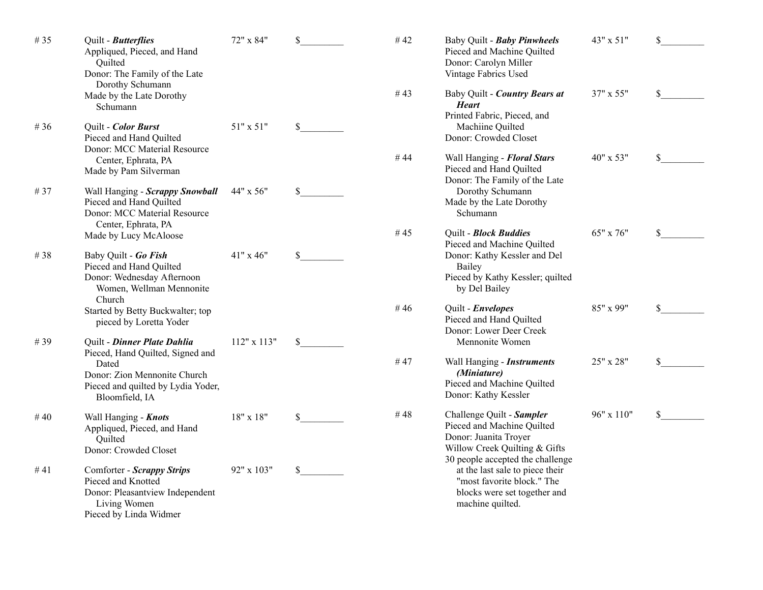| #35    | Quilt - Butterflies<br>Appliqued, Pieced, and Hand<br>Quilted<br>Donor: The Family of the Late                                | 72" x 84"        | $\mathbb{S}$ | $\#$ 42 | Baby Quilt - Baby Pinwheels<br>Pieced and Machine Quilted<br>Donor: Carolyn Miller<br>Vintage Fabrics Used                                            | 43" x 51"  | \$ |
|--------|-------------------------------------------------------------------------------------------------------------------------------|------------------|--------------|---------|-------------------------------------------------------------------------------------------------------------------------------------------------------|------------|----|
|        | Dorothy Schumann<br>Made by the Late Dorothy<br>Schumann                                                                      |                  |              | #43     | Baby Quilt - Country Bears at<br><b>Heart</b><br>Printed Fabric, Pieced, and                                                                          | 37" x 55"  | \$ |
| # 36   | Quilt - Color Burst<br>Pieced and Hand Quilted<br>Donor: MCC Material Resource                                                | 51" x 51"        | $\mathbb{S}$ |         | Machiine Quilted<br>Donor: Crowded Closet                                                                                                             |            |    |
|        | Center, Ephrata, PA<br>Made by Pam Silverman                                                                                  |                  |              | #44     | Wall Hanging - Floral Stars<br>Pieced and Hand Quilted<br>Donor: The Family of the Late                                                               | 40" x 53"  | \$ |
| #37    | Wall Hanging - Scrappy Snowball<br>Pieced and Hand Quilted<br>Donor: MCC Material Resource<br>Center, Ephrata, PA             | 44" x 56"        | \$           |         | Dorothy Schumann<br>Made by the Late Dorothy<br>Schumann                                                                                              |            |    |
|        | Made by Lucy McAloose                                                                                                         |                  |              | #45     | Quilt - Block Buddies<br>Pieced and Machine Quilted                                                                                                   | 65" x 76"  | \$ |
| #38    | Baby Quilt - Go Fish<br>Pieced and Hand Quilted<br>Donor: Wednesday Afternoon<br>Women, Wellman Mennonite<br>Church           | 41" x 46"        | $\mathbb{S}$ |         | Donor: Kathy Kessler and Del<br>Bailey<br>Pieced by Kathy Kessler; quilted<br>by Del Bailey                                                           |            |    |
|        | Started by Betty Buckwalter; top<br>pieced by Loretta Yoder                                                                   |                  |              | #46     | Quilt - Envelopes<br>Pieced and Hand Quilted<br>Donor: Lower Deer Creek                                                                               | 85" x 99"  | \$ |
| #39    | Quilt - Dinner Plate Dahlia<br>Pieced, Hand Quilted, Signed and                                                               | 112" x 113"      | \$           |         | Mennonite Women                                                                                                                                       |            |    |
|        | Dated<br>Donor: Zion Mennonite Church<br>Pieced and quilted by Lydia Yoder,<br>Bloomfield, IA                                 |                  |              | #47     | Wall Hanging - Instruments<br>(Miniature)<br>Pieced and Machine Quilted<br>Donor: Kathy Kessler                                                       | 25" x 28"  | \$ |
| #40    | Wall Hanging - Knots<br>Appliqued, Pieced, and Hand<br>Quilted<br>Donor: Crowded Closet                                       | $18" \times 18"$ | $\mathbb{S}$ | #48     | Challenge Quilt - Sampler<br>Pieced and Machine Quilted<br>Donor: Juanita Troyer<br>Willow Creek Quilting & Gifts                                     | 96" x 110" | \$ |
| # $41$ | Comforter - Scrappy Strips<br>Pieced and Knotted<br>Donor: Pleasantview Independent<br>Living Women<br>Pieced by Linda Widmer | 92" x 103"       | \$           |         | 30 people accepted the challenge<br>at the last sale to piece their<br>"most favorite block." The<br>blocks were set together and<br>machine quilted. |            |    |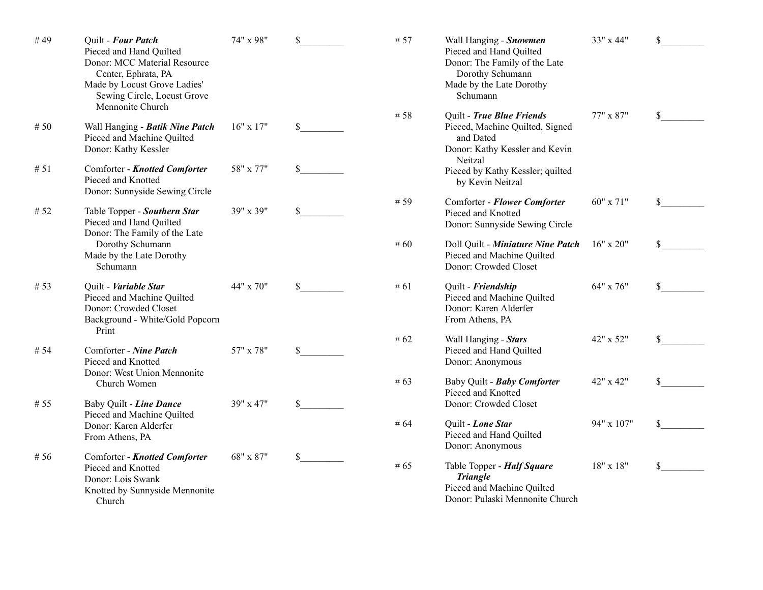| #49    | Quilt - Four Patch<br>Pieced and Hand Quilted<br>Donor: MCC Material Resource<br>Center, Ephrata, PA<br>Made by Locust Grove Ladies'<br>Sewing Circle, Locust Grove<br>Mennonite Church | 74" x 98"     | \$           | # 57   | Wall Hanging - Snowmen<br>Pieced and Hand Quilted<br>Donor: The Family of the Late<br>Dorothy Schumann<br>Made by the Late Dorothy<br>Schumann | 33" x 44"  | \$           |
|--------|-----------------------------------------------------------------------------------------------------------------------------------------------------------------------------------------|---------------|--------------|--------|------------------------------------------------------------------------------------------------------------------------------------------------|------------|--------------|
| # $50$ | Wall Hanging - Batik Nine Patch<br>Pieced and Machine Quilted<br>Donor: Kathy Kessler                                                                                                   | $16"$ x $17"$ | \$           | # $58$ | Quilt - True Blue Friends<br>Pieced, Machine Quilted, Signed<br>and Dated<br>Donor: Kathy Kessler and Kevin<br>Neitzal                         | 77" x 87"  | $\mathbb{S}$ |
| # $51$ | Comforter - Knotted Comforter<br>Pieced and Knotted<br>Donor: Sunnyside Sewing Circle                                                                                                   | 58" x 77"     | \$           |        | Pieced by Kathy Kessler; quilted<br>by Kevin Neitzal                                                                                           |            |              |
| # 52   | Table Topper - Southern Star<br>Pieced and Hand Quilted<br>Donor: The Family of the Late                                                                                                | 39" x 39"     | \$           | # 59   | Comforter - Flower Comforter<br>Pieced and Knotted<br>Donor: Sunnyside Sewing Circle                                                           | 60" x 71"  | \$           |
|        | Dorothy Schumann<br>Made by the Late Dorothy<br>Schumann                                                                                                                                |               |              | #60    | Doll Quilt - Miniature Nine Patch<br>Pieced and Machine Quilted<br>Donor: Crowded Closet                                                       | 16" x 20"  | \$           |
| # $53$ | Quilt - Variable Star<br>Pieced and Machine Quilted<br>Donor: Crowded Closet<br>Background - White/Gold Popcorn<br>Print                                                                | 44" x 70"     | \$           | # $61$ | Quilt - Friendship<br>Pieced and Machine Quilted<br>Donor: Karen Alderfer<br>From Athens, PA                                                   | 64" x 76"  | \$           |
| # 54   | Comforter - Nine Patch<br>Pieced and Knotted<br>Donor: West Union Mennonite                                                                                                             | 57" x 78"     | $\mathbb{S}$ | # $62$ | Wall Hanging - Stars<br>Pieced and Hand Quilted<br>Donor: Anonymous                                                                            | 42" x 52"  | \$           |
|        | Church Women                                                                                                                                                                            |               |              | #63    | Baby Quilt - Baby Comforter<br>Pieced and Knotted                                                                                              | 42" x 42"  | \$           |
| # $55$ | Baby Quilt - Line Dance<br>Pieced and Machine Quilted<br>Donor: Karen Alderfer<br>From Athens, PA                                                                                       | 39" x 47"     | $\mathbb{S}$ | # 64   | Donor: Crowded Closet<br>Quilt - Lone Star<br>Pieced and Hand Quilted<br>Donor: Anonymous                                                      | 94" x 107" | \$           |
| # 56   | Comforter - Knotted Comforter<br>Pieced and Knotted<br>Donor: Lois Swank<br>Knotted by Sunnyside Mennonite<br>Church                                                                    | 68" x 87"     | $\mathbb{S}$ | #65    | Table Topper - Half Square<br><b>Triangle</b><br>Pieced and Machine Quilted<br>Donor: Pulaski Mennonite Church                                 | 18" x 18"  | \$           |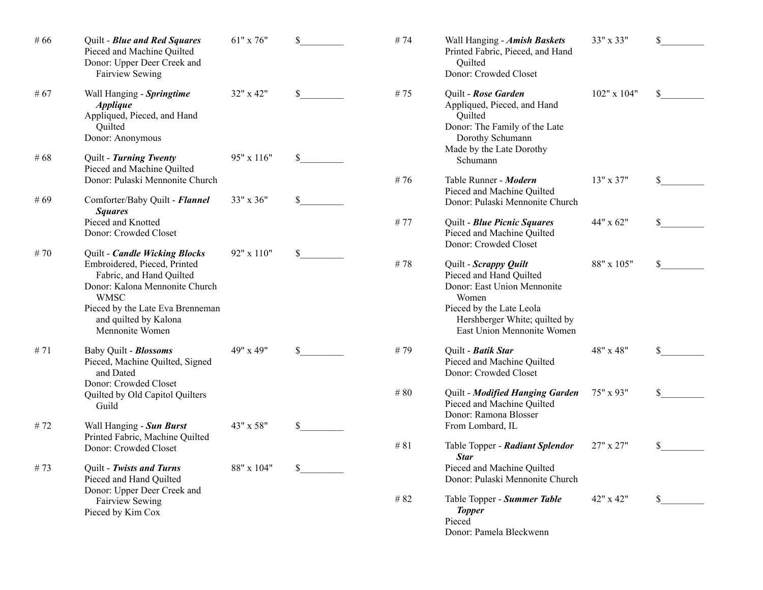| #66        | Quilt - Blue and Red Squares<br>Pieced and Machine Quilted<br>Donor: Upper Deer Creek and<br>Fairview Sewing                                                                                                               | 61" x 76"               | \$                           | #74     | Wall Hanging - Amish Baskets<br>Printed Fabric, Pieced, and Hand<br>Quilted<br>Donor: Crowded Closet                                                                                | 33" x 33"   | \$ |
|------------|----------------------------------------------------------------------------------------------------------------------------------------------------------------------------------------------------------------------------|-------------------------|------------------------------|---------|-------------------------------------------------------------------------------------------------------------------------------------------------------------------------------------|-------------|----|
| #67<br>#68 | Wall Hanging - Springtime<br><b>Applique</b><br>Appliqued, Pieced, and Hand<br>Ouilted<br>Donor: Anonymous<br>Quilt - Turning Twenty                                                                                       | 32" x 42"<br>95" x 116" | $\mathbb{S}$<br>$\mathbb{S}$ | #75     | Quilt - Rose Garden<br>Appliqued, Pieced, and Hand<br>Quilted<br>Donor: The Family of the Late<br>Dorothy Schumann<br>Made by the Late Dorothy<br>Schumann                          | 102" x 104" | \$ |
| #69        | Pieced and Machine Quilted<br>Donor: Pulaski Mennonite Church<br>Comforter/Baby Quilt - Flannel                                                                                                                            | 33" x 36"               | $\mathbb{S}$                 | #76     | Table Runner - Modern<br>Pieced and Machine Quilted<br>Donor: Pulaski Mennonite Church                                                                                              | 13" x 37"   | \$ |
|            | <b>Squares</b><br>Pieced and Knotted<br>Donor: Crowded Closet                                                                                                                                                              |                         |                              | #77     | Quilt - Blue Picnic Squares<br>Pieced and Machine Quilted<br>Donor: Crowded Closet                                                                                                  | 44" x 62"   | \$ |
| #70        | Quilt - Candle Wicking Blocks<br>Embroidered, Pieced, Printed<br>Fabric, and Hand Quilted<br>Donor: Kalona Mennonite Church<br><b>WMSC</b><br>Pieced by the Late Eva Brenneman<br>and quilted by Kalona<br>Mennonite Women | 92" x 110"              | \$                           | #78     | Quilt - Scrappy Quilt<br>Pieced and Hand Quilted<br>Donor: East Union Mennonite<br>Women<br>Pieced by the Late Leola<br>Hershberger White; quilted by<br>East Union Mennonite Women | 88" x 105"  | \$ |
| #71        | Baby Quilt - Blossoms<br>Pieced, Machine Quilted, Signed<br>and Dated<br>Donor: Crowded Closet<br>Quilted by Old Capitol Quilters<br>Guild                                                                                 | 49" x 49"               | \$                           | #79     | Quilt - Batik Star<br>Pieced and Machine Quilted<br>Donor: Crowded Closet                                                                                                           | 48" x 48"   | \$ |
|            |                                                                                                                                                                                                                            |                         |                              | $\#$ 80 | Quilt - Modified Hanging Garden<br>Pieced and Machine Quilted<br>Donor: Ramona Blosser                                                                                              | 75" x 93"   | \$ |
| #72        | Wall Hanging - Sun Burst<br>Printed Fabric, Machine Quilted<br>Donor: Crowded Closet                                                                                                                                       | 43" x 58"               | $\mathbb{S}$                 | #81     | From Lombard, IL<br>Table Topper - Radiant Splendor<br><b>Star</b>                                                                                                                  | 27" x 27"   | \$ |
| #73        | Quilt - Twists and Turns<br>Pieced and Hand Quilted<br>Donor: Upper Deer Creek and                                                                                                                                         | 88" x 104"              | \$                           |         | Pieced and Machine Quilted<br>Donor: Pulaski Mennonite Church                                                                                                                       |             |    |
|            | Fairview Sewing<br>Pieced by Kim Cox                                                                                                                                                                                       |                         |                              | #82     | Table Topper - Summer Table<br><b>Topper</b><br>Pieced<br>Donor: Pamela Bleckwenn                                                                                                   | 42" x 42"   | \$ |